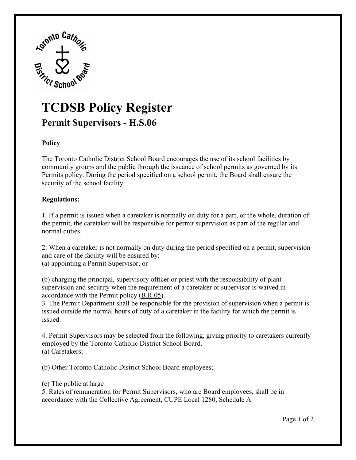

## **TCDSB Policy Register Permit [Supervisors](https://Supervisors-H.S.06) - H.S.06**

## **Policy**

The Toronto Catholic District School Board encourages the use of its school facilities by community groups and the public through the issuance of school permits as governed by its Permits policy. During the period specified on a school permit, the Board shall ensure the security of the school facility.

## **Regulations:**

1. If a permit is issued when a caretaker is normally on duty for a part, or the whole, duration of the permit, the caretaker will be responsible for permit supervision as part of the regular and normal duties.

2. When a caretaker is not normally on duty during the period specified on a permit, supervision and care of the facility will be ensured by: (a) appointing a Permit Supervisor; or

(b) charging the principal, supervisory officer or priest with the responsibility of plant supervision and security when the requirement of a caretaker or supervisor is waived in accordance with the Permit policy [\(B.R.05\)](https://www.tcdsb.org/Board/Policies/Pages/BR05.aspx).

3. The Permit Department shall be responsible for the provision of supervision when a permit is issued outside the normal hours of duty of a caretaker in the facility for which the permit is issued.

4. Permit Supervisors may be selected from the following, giving priority to caretakers currently employed by the Toronto Catholic District School Board. (a) Caretakers;

(b) Other Toronto Catholic District School Board employees;

## (c) The public at large

5. Rates of remuneration for Permit Supervisors, who are Board employees, shall be in accordance with the Collective Agreement, CUPE Local 1280, Schedule A.